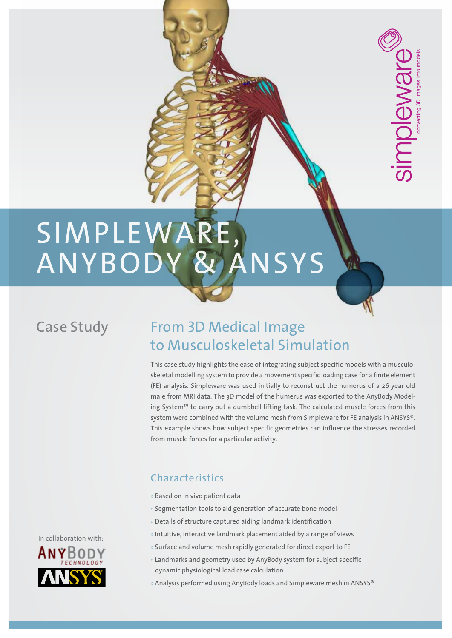# **SIMPLEWARE** ANYBODY & ANSYS

### Case Study

## From 3D Medical Image to Musculoskeletal Simulation

This case study highlights the ease of integrating subject specific models with a musculoskeletal modelling system to provide a movement specific loading case for a finite element (FE) analysis. Simpleware was used initially to reconstruct the humerus of a 26 year old male from MRI data. The 3D model of the humerus was exported to the AnyBody Modeling System™ to carry out a dumbbell lifting task. The calculated muscle forces from this system were combined with the volume mesh from Simpleware for FE analysis in ANSYS®. This example shows how subject specific geometries can influence the stresses recorded from muscle forces for a particular activity.

converting 3D images into models

**AIC** 

#### Characteristics

- » Based on in vivo patient data
- » Segmentation tools to aid generation of accurate bone model
- » Details of structure captured aiding landmark identification
- » Intuitive, interactive landmark placement aided by a range of views
- » Surface and volume mesh rapidly generated for direct export to FE
- » Landmarks and geometry used by AnyBody system for subject specific dynamic physiological load case calculation
- » Analysis performed using AnyBody loads and Simpleware mesh in ANSYS®



In collaboration with: